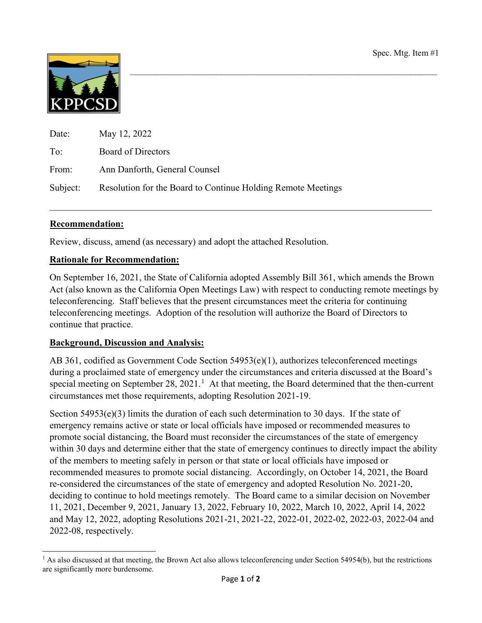

| Date: | May 12, 2022                                                          |
|-------|-----------------------------------------------------------------------|
| To:   | Board of Directors                                                    |
| From: | Ann Danforth, General Counsel                                         |
|       | Subject: Resolution for the Board to Continue Holding Remote Meetings |

### **Recommendation:**

Review, discuss, amend (as necessary) and adopt the attached Resolution.

#### **Rationale for Recommendation:**

On September 16, 2021, the State of California adopted Assembly Bill 361, which amends the Brown Act (also known as the California Open Meetings Law) with respect to conducting remote meetings by teleconferencing. Staff believes that the present circumstances meet the criteria for continuing teleconferencing meetings. Adoption of the resolution will authorize the Board of Directors to continue that practice.

 $\_$  , and the set of the set of the set of the set of the set of the set of the set of the set of the set of the set of the set of the set of the set of the set of the set of the set of the set of the set of the set of th

#### **Background, Discussion and Analysis:**

AB 361, codified as Government Code Section 54953(e)(1), authorizes teleconferenced meetings during a proclaimed state of emergency under the circumstances and criteria discussed at the Board's special meeting on September 28, 202[1](#page-0-0).<sup>1</sup> At that meeting, the Board determined that the then-current circumstances met those requirements, adopting Resolution 2021-19.

Section 54953(e)(3) limits the duration of each such determination to 30 days. If the state of emergency remains active or state or local officials have imposed or recommended measures to promote social distancing, the Board must reconsider the circumstances of the state of emergency within 30 days and determine either that the state of emergency continues to directly impact the ability of the members to meeting safely in person or that state or local officials have imposed or recommended measures to promote social distancing. Accordingly, on October 14, 2021, the Board re-considered the circumstances of the state of emergency and adopted Resolution No. 2021-20, deciding to continue to hold meetings remotely. The Board came to a similar decision on November 11, 2021, December 9, 2021, January 13, 2022, February 10, 2022, March 10, 2022, April 14, 2022 and May 12, 2022, adopting Resolutions 2021-21, 2021-22, 2022-01, 2022-02, 2022-03, 2022-04 and 2022-08, respectively.

<span id="page-0-0"></span>l  $<sup>1</sup>$  As also discussed at that meeting, the Brown Act also allows teleconferencing under Section 54954(b), but the restrictions</sup> are significantly more burdensome.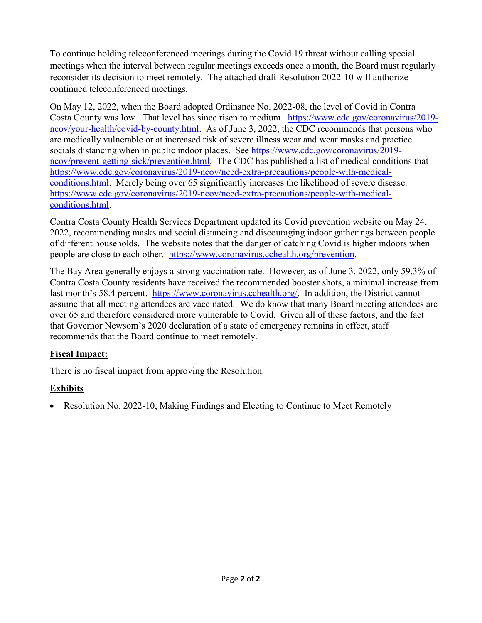To continue holding teleconferenced meetings during the Covid 19 threat without calling special meetings when the interval between regular meetings exceeds once a month, the Board must regularly reconsider its decision to meet remotely. The attached draft Resolution 2022-10 will authorize continued teleconferenced meetings.

On May 12, 2022, when the Board adopted Ordinance No. 2022-08, the level of Covid in Contra Costa County was low. That level has since risen to medium. [https://www.cdc.gov/coronavirus/2019](https://www.cdc.gov/coronavirus/2019-ncov/your-health/covid-by-county.html) [ncov/your-health/covid-by-county.html.](https://www.cdc.gov/coronavirus/2019-ncov/your-health/covid-by-county.html) As of June 3, 2022, the CDC recommends that persons who are medically vulnerable or at increased risk of severe illness wear and wear masks and practice socials distancing when in public indoor places. See [https://www.cdc.gov/coronavirus/2019](https://www.cdc.gov/coronavirus/2019-ncov/prevent-getting-sick/prevention.html) [ncov/prevent-getting-sick/prevention.html.](https://www.cdc.gov/coronavirus/2019-ncov/prevent-getting-sick/prevention.html) The CDC has published a list of medical conditions that [https://www.cdc.gov/coronavirus/2019-ncov/need-extra-precautions/people-with-medical](https://www.cdc.gov/coronavirus/2019-ncov/need-extra-precautions/people-with-medical-conditions.html)[conditions.html.](https://www.cdc.gov/coronavirus/2019-ncov/need-extra-precautions/people-with-medical-conditions.html) Merely being over 65 significantly increases the likelihood of severe disease. [https://www.cdc.gov/coronavirus/2019-ncov/need-extra-precautions/people-with-medical](https://www.cdc.gov/coronavirus/2019-ncov/need-extra-precautions/people-with-medical-conditions.html)[conditions.html.](https://www.cdc.gov/coronavirus/2019-ncov/need-extra-precautions/people-with-medical-conditions.html)

Contra Costa County Health Services Department updated its Covid prevention website on May 24, 2022, recommending masks and social distancing and discouraging indoor gatherings between people of different households. The website notes that the danger of catching Covid is higher indoors when people are close to each other. [https://www.coronavirus.cchealth.org/prevention.](https://www.coronavirus.cchealth.org/prevention)

The Bay Area generally enjoys a strong vaccination rate. However, as of June 3, 2022, only 59.3% of Contra Costa County residents have received the recommended booster shots, a minimal increase from last month's 58.4 percent. [https://www.coronavirus.cchealth.org/.](https://www.coronavirus.cchealth.org/) In addition, the District cannot assume that all meeting attendees are vaccinated. We do know that many Board meeting attendees are over 65 and therefore considered more vulnerable to Covid. Given all of these factors, and the fact that Governor Newsom's 2020 declaration of a state of emergency remains in effect, staff recommends that the Board continue to meet remotely.

# **Fiscal Impact:**

There is no fiscal impact from approving the Resolution.

# **Exhibits**

• Resolution No. 2022-10, Making Findings and Electing to Continue to Meet Remotely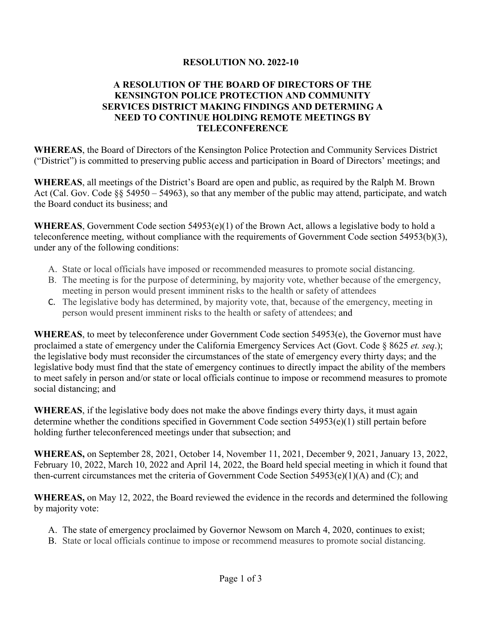### **RESOLUTION NO. 2022-10**

## **A RESOLUTION OF THE BOARD OF DIRECTORS OF THE KENSINGTON POLICE PROTECTION AND COMMUNITY SERVICES DISTRICT MAKING FINDINGS AND DETERMING A NEED TO CONTINUE HOLDING REMOTE MEETINGS BY TELECONFERENCE**

**WHEREAS**, the Board of Directors of the Kensington Police Protection and Community Services District ("District") is committed to preserving public access and participation in Board of Directors' meetings; and

**WHEREAS**, all meetings of the District's Board are open and public, as required by the Ralph M. Brown Act (Cal. Gov. Code §§ 54950 – 54963), so that any member of the public may attend, participate, and watch the Board conduct its business; and

**WHEREAS**, Government Code section 54953(e)(1) of the Brown Act, allows a legislative body to hold a teleconference meeting, without compliance with the requirements of Government Code section 54953(b)(3), under any of the following conditions:

- A. State or local officials have imposed or recommended measures to promote social distancing.
- B. The meeting is for the purpose of determining, by majority vote, whether because of the emergency, meeting in person would present imminent risks to the health or safety of attendees
- C. The legislative body has determined, by majority vote, that, because of the emergency, meeting in person would present imminent risks to the health or safety of attendees; and

**WHEREAS**, to meet by teleconference under Government Code section 54953(e), the Governor must have proclaimed a state of emergency under the California Emergency Services Act (Govt. Code § 8625 *et. seq*.); the legislative body must reconsider the circumstances of the state of emergency every thirty days; and the legislative body must find that the state of emergency continues to directly impact the ability of the members to meet safely in person and/or state or local officials continue to impose or recommend measures to promote social distancing; and

**WHEREAS**, if the legislative body does not make the above findings every thirty days, it must again determine whether the conditions specified in Government Code section 54953(e)(1) still pertain before holding further teleconferenced meetings under that subsection; and

**WHEREAS,** on September 28, 2021, October 14, November 11, 2021, December 9, 2021, January 13, 2022, February 10, 2022, March 10, 2022 and April 14, 2022, the Board held special meeting in which it found that then-current circumstances met the criteria of Government Code Section 54953(e)(1)(A) and (C); and

**WHEREAS,** on May 12, 2022, the Board reviewed the evidence in the records and determined the following by majority vote:

- A. The state of emergency proclaimed by Governor Newsom on March 4, 2020, continues to exist;
- B. State or local officials continue to impose or recommend measures to promote social distancing.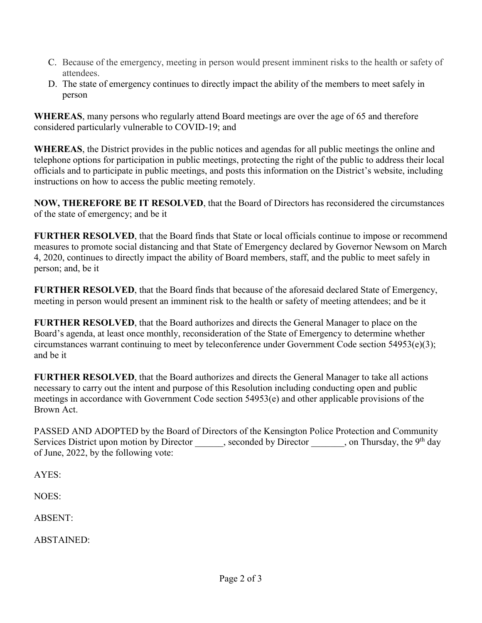- C. Because of the emergency, meeting in person would present imminent risks to the health or safety of attendees.
- D. The state of emergency continues to directly impact the ability of the members to meet safely in person

**WHEREAS**, many persons who regularly attend Board meetings are over the age of 65 and therefore considered particularly vulnerable to COVID-19; and

**WHEREAS**, the District provides in the public notices and agendas for all public meetings the online and telephone options for participation in public meetings, protecting the right of the public to address their local officials and to participate in public meetings, and posts this information on the District's website, including instructions on how to access the public meeting remotely.

**NOW, THEREFORE BE IT RESOLVED**, that the Board of Directors has reconsidered the circumstances of the state of emergency; and be it

**FURTHER RESOLVED**, that the Board finds that State or local officials continue to impose or recommend measures to promote social distancing and that State of Emergency declared by Governor Newsom on March 4, 2020, continues to directly impact the ability of Board members, staff, and the public to meet safely in person; and, be it

**FURTHER RESOLVED**, that the Board finds that because of the aforesaid declared State of Emergency, meeting in person would present an imminent risk to the health or safety of meeting attendees; and be it

**FURTHER RESOLVED**, that the Board authorizes and directs the General Manager to place on the Board's agenda, at least once monthly, reconsideration of the State of Emergency to determine whether circumstances warrant continuing to meet by teleconference under Government Code section 54953(e)(3); and be it

**FURTHER RESOLVED**, that the Board authorizes and directs the General Manager to take all actions necessary to carry out the intent and purpose of this Resolution including conducting open and public meetings in accordance with Government Code section 54953(e) and other applicable provisions of the Brown Act.

PASSED AND ADOPTED by the Board of Directors of the Kensington Police Protection and Community Services District upon motion by Director \_\_\_\_\_, seconded by Director \_\_\_\_\_\_, on Thursday, the 9<sup>th</sup> day of June, 2022, by the following vote:

AYES:

NOES:

ABSENT:

ABSTAINED: